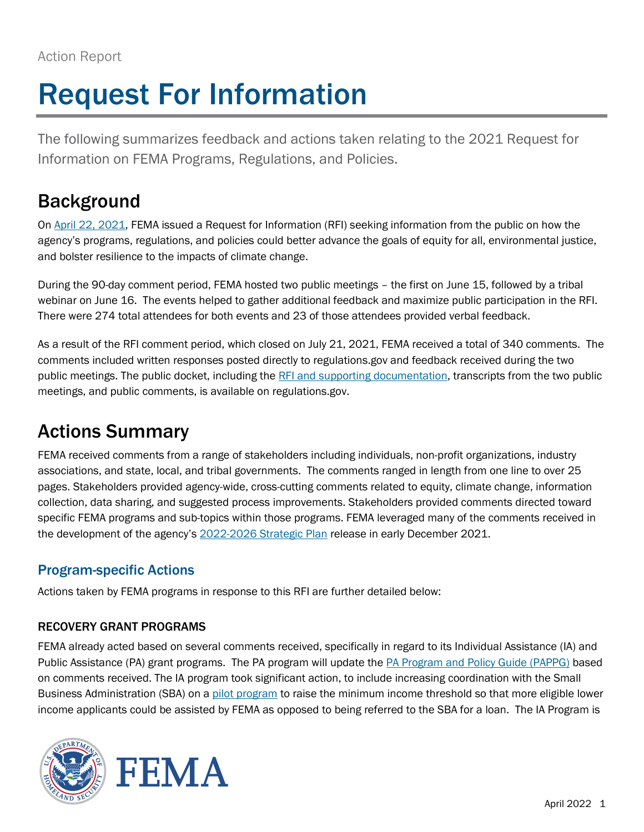# Request For Information

The following summarizes feedback and actions taken relating to the 2021 Request for Information on FEMA Programs, Regulations, and Policies.

## Background

On [April 22, 2021,](https://www.federalregister.gov/documents/2021/04/22/2021-08444/request-for-information-on-fema-programs-regulations-and-policies) FEMA issued a Request for Information (RFI) seeking information from the public on how the agency's programs, regulations, and policies could better advance the goals of equity for all, environmental justice, and bolster resilience to the impacts of climate change.

During the 90-day comment period, FEMA hosted two public meetings – the first on June 15, followed by a tribal webinar on June 16. The events helped to gather additional feedback and maximize public participation in the RFI. There were 274 total attendees for both events and 23 of those attendees provided verbal feedback.

As a result of the RFI comment period, which closed on July 21, 2021, FEMA received a total of 340 comments. The comments included written responses posted directly to regulations.gov and feedback received during the two public meetings. The public docket, including th[e RFI and supporting documentation,](https://www.regulations.gov/docket/FEMA-2021-0011/document) transcripts from the two public meetings, an[d public comments,](https://www.regulations.gov/document/FEMA-2021-0011-0001/comment) is available on regulations.gov.

# Actions Summary

FEMA received comments from a range of stakeholders including individuals, non-profit organizations, industry associations, and state, local, and tribal governments. The comments ranged in length from one line to over 25 pages. Stakeholders provided agency-wide, cross-cutting comments related to equity, climate change, information collection, data sharing, and suggested process improvements. Stakeholders provided comments directed toward specific FEMA programs and sub-topics within those programs. FEMA leveraged many of the comments received in the development of the agency's 2022-2026 [Strategic Plan](https://www.fema.gov/about/strategic-plan) release in early December 2021.

### Program-specific Actions

Actions taken by FEMA programs in response to this RFI are further detailed below:

#### RECOVERY GRANT PROGRAMS

FEMA already acted based on several comments received, specifically in regard to its Individual Assistance (IA) and Public Assistance (PA) grant programs. The PA program will update the [PA Program and Policy Guide \(PAPPG\)](https://www.fema.gov/sites/default/files/documents/fema_pappg-v4-updated-links_policy_6-1-2020.pdf) based on comments received. The IA program took significant action, to include increasing coordination with the Small Business Administration (SBA) on a [pilot program](https://www.fema.gov/press-release/20211216/equity-drives-fema-response-and-recovery-efforts-tornado-damaged-areas) to raise the minimum income threshold so that more eligible lower income applicants could be assisted by FEMA as opposed to being referred to the SBA for a loan. The IA Program is